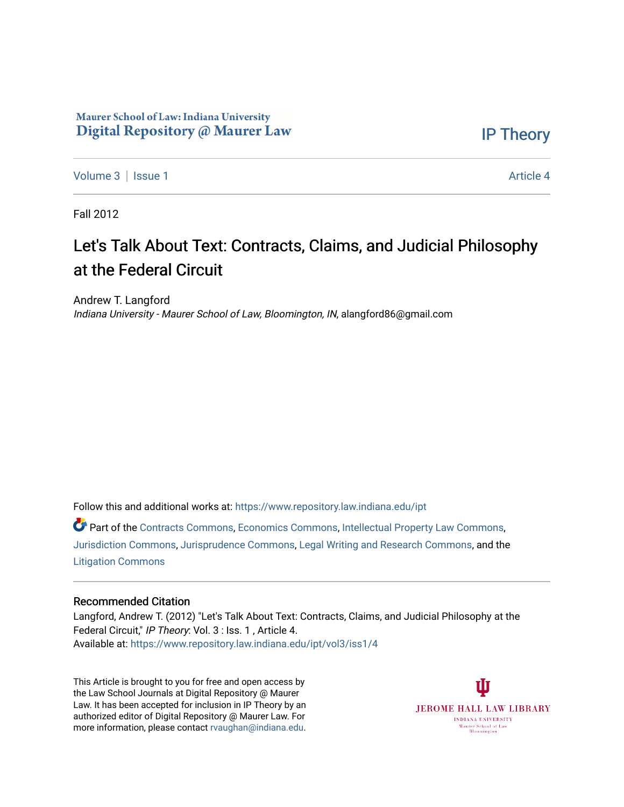## Maurer School of Law: Indiana University Digital Repository @ Maurer Law

[IP Theory](https://www.repository.law.indiana.edu/ipt) 

[Volume 3](https://www.repository.law.indiana.edu/ipt/vol3) | [Issue 1](https://www.repository.law.indiana.edu/ipt/vol3/iss1) Article 4

Fall 2012

## Let's Talk About Text: Contracts, Claims, and Judicial Philosophy at the Federal Circuit

Andrew T. Langford Indiana University - Maurer School of Law, Bloomington, IN, alangford86@gmail.com

Follow this and additional works at: [https://www.repository.law.indiana.edu/ipt](https://www.repository.law.indiana.edu/ipt?utm_source=www.repository.law.indiana.edu%2Fipt%2Fvol3%2Fiss1%2F4&utm_medium=PDF&utm_campaign=PDFCoverPages) 

Part of the [Contracts Commons](http://network.bepress.com/hgg/discipline/591?utm_source=www.repository.law.indiana.edu%2Fipt%2Fvol3%2Fiss1%2F4&utm_medium=PDF&utm_campaign=PDFCoverPages), [Economics Commons](http://network.bepress.com/hgg/discipline/340?utm_source=www.repository.law.indiana.edu%2Fipt%2Fvol3%2Fiss1%2F4&utm_medium=PDF&utm_campaign=PDFCoverPages), [Intellectual Property Law Commons](http://network.bepress.com/hgg/discipline/896?utm_source=www.repository.law.indiana.edu%2Fipt%2Fvol3%2Fiss1%2F4&utm_medium=PDF&utm_campaign=PDFCoverPages), [Jurisdiction Commons,](http://network.bepress.com/hgg/discipline/850?utm_source=www.repository.law.indiana.edu%2Fipt%2Fvol3%2Fiss1%2F4&utm_medium=PDF&utm_campaign=PDFCoverPages) [Jurisprudence Commons](http://network.bepress.com/hgg/discipline/610?utm_source=www.repository.law.indiana.edu%2Fipt%2Fvol3%2Fiss1%2F4&utm_medium=PDF&utm_campaign=PDFCoverPages), [Legal Writing and Research Commons](http://network.bepress.com/hgg/discipline/614?utm_source=www.repository.law.indiana.edu%2Fipt%2Fvol3%2Fiss1%2F4&utm_medium=PDF&utm_campaign=PDFCoverPages), and the [Litigation Commons](http://network.bepress.com/hgg/discipline/910?utm_source=www.repository.law.indiana.edu%2Fipt%2Fvol3%2Fiss1%2F4&utm_medium=PDF&utm_campaign=PDFCoverPages) 

## Recommended Citation

Langford, Andrew T. (2012) "Let's Talk About Text: Contracts, Claims, and Judicial Philosophy at the Federal Circuit," IP Theory: Vol. 3 : Iss. 1 , Article 4. Available at: [https://www.repository.law.indiana.edu/ipt/vol3/iss1/4](https://www.repository.law.indiana.edu/ipt/vol3/iss1/4?utm_source=www.repository.law.indiana.edu%2Fipt%2Fvol3%2Fiss1%2F4&utm_medium=PDF&utm_campaign=PDFCoverPages) 

This Article is brought to you for free and open access by the Law School Journals at Digital Repository @ Maurer Law. It has been accepted for inclusion in IP Theory by an authorized editor of Digital Repository @ Maurer Law. For more information, please contact [rvaughan@indiana.edu](mailto:rvaughan@indiana.edu).

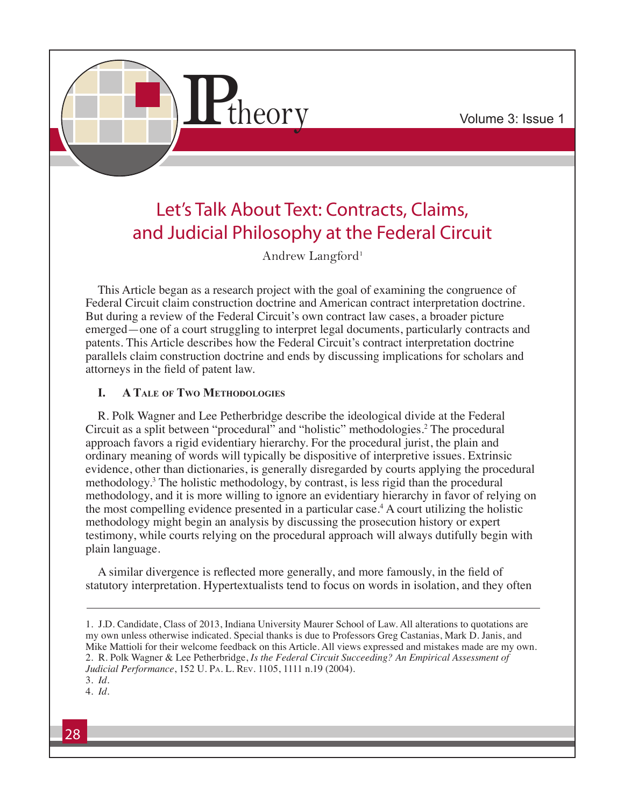

# Let's Talk About Text: Contracts, Claims, and Judicial Philosophy at the Federal Circuit

Andrew Langford<sup>1</sup>

This Article began as a research project with the goal of examining the congruence of Federal Circuit claim construction doctrine and American contract interpretation doctrine. But during a review of the Federal Circuit's own contract law cases, a broader picture emerged—one of a court struggling to interpret legal documents, particularly contracts and patents. This Article describes how the Federal Circuit's contract interpretation doctrine parallels claim construction doctrine and ends by discussing implications for scholars and attorneys in the field of patent law.

## **I. A Tale of Two Methodologies**

R. Polk Wagner and Lee Petherbridge describe the ideological divide at the Federal Circuit as a split between "procedural" and "holistic" methodologies.2 The procedural approach favors a rigid evidentiary hierarchy. For the procedural jurist, the plain and ordinary meaning of words will typically be dispositive of interpretive issues. Extrinsic evidence, other than dictionaries, is generally disregarded by courts applying the procedural methodology.3 The holistic methodology, by contrast, is less rigid than the procedural methodology, and it is more willing to ignore an evidentiary hierarchy in favor of relying on the most compelling evidence presented in a particular case.<sup>4</sup> A court utilizing the holistic methodology might begin an analysis by discussing the prosecution history or expert testimony, while courts relying on the procedural approach will always dutifully begin with plain language.

A similar divergence is reflected more generally, and more famously, in the field of statutory interpretation. Hypertextualists tend to focus on words in isolation, and they often

<sup>1.</sup> J.D. Candidate, Class of 2013, Indiana University Maurer School of Law. All alterations to quotations are my own unless otherwise indicated. Special thanks is due to Professors Greg Castanias, Mark D. Janis, and Mike Mattioli for their welcome feedback on this Article. All views expressed and mistakes made are my own. 2. R. Polk Wagner & Lee Petherbridge, *Is the Federal Circuit Succeeding? An Empirical Assessment of Judicial Performance*, 152 U. Pa. L. Rev. 1105, 1111 n.19 (2004).

<sup>3.</sup> *Id.*

<sup>4.</sup> *Id.*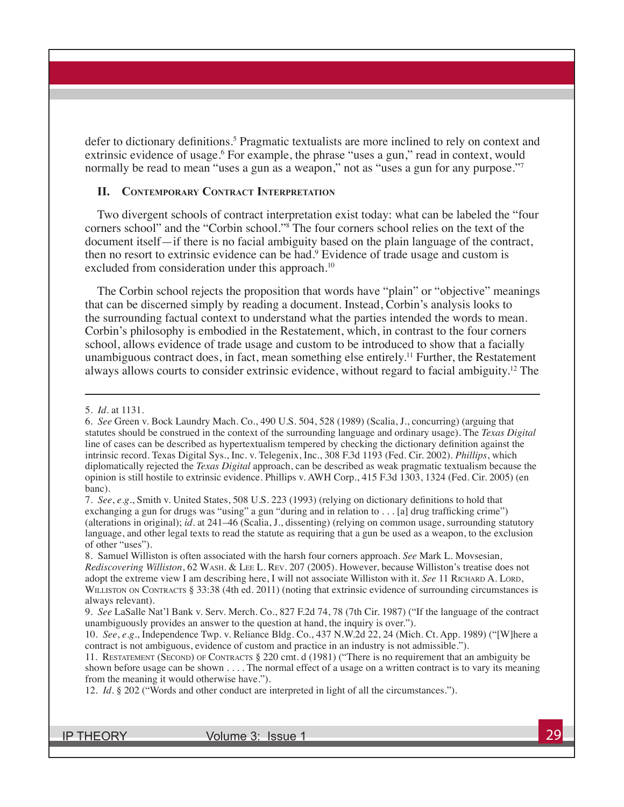defer to dictionary definitions.<sup>5</sup> Pragmatic textualists are more inclined to rely on context and extrinsic evidence of usage.<sup>6</sup> For example, the phrase "uses a gun," read in context, would normally be read to mean "uses a gun as a weapon," not as "uses a gun for any purpose."

### **II. Contemporary Contract Interpretation**

Two divergent schools of contract interpretation exist today: what can be labeled the "four corners school" and the "Corbin school."8 The four corners school relies on the text of the document itself—if there is no facial ambiguity based on the plain language of the contract, then no resort to extrinsic evidence can be had.<sup>9</sup> Evidence of trade usage and custom is excluded from consideration under this approach.<sup>10</sup>

The Corbin school rejects the proposition that words have "plain" or "objective" meanings that can be discerned simply by reading a document. Instead, Corbin's analysis looks to the surrounding factual context to understand what the parties intended the words to mean. Corbin's philosophy is embodied in the Restatement, which, in contrast to the four corners school, allows evidence of trade usage and custom to be introduced to show that a facially unambiguous contract does, in fact, mean something else entirely.<sup>11</sup> Further, the Restatement always allows courts to consider extrinsic evidence, without regard to facial ambiguity.12 The

<sup>5.</sup> *Id.* at 1131.

<sup>6.</sup> *See* Green v. Bock Laundry Mach. Co., 490 U.S. 504, 528 (1989) (Scalia, J., concurring) (arguing that statutes should be construed in the context of the surrounding language and ordinary usage). The *Texas Digital*  line of cases can be described as hypertextualism tempered by checking the dictionary definition against the intrinsic record. Texas Digital Sys., Inc. v. Telegenix, Inc., 308 F.3d 1193 (Fed. Cir. 2002). *Phillips*, which diplomatically rejected the *Texas Digital* approach, can be described as weak pragmatic textualism because the opinion is still hostile to extrinsic evidence. Phillips v. AWH Corp., 415 F.3d 1303, 1324 (Fed. Cir. 2005) (en banc).

<sup>7.</sup> *See*, *e.g.*, Smith v. United States, 508 U.S. 223 (1993) (relying on dictionary definitions to hold that exchanging a gun for drugs was "using" a gun "during and in relation to . . . [a] drug trafficking crime") (alterations in original); *id.* at 241–46 (Scalia, J., dissenting) (relying on common usage, surrounding statutory language, and other legal texts to read the statute as requiring that a gun be used as a weapon, to the exclusion of other "uses").

<sup>8.</sup> Samuel Williston is often associated with the harsh four corners approach. *See* Mark L. Movsesian, *Rediscovering Williston*, 62 Wash. & Lee L. Rev. 207 (2005). However, because Williston's treatise does not adopt the extreme view I am describing here, I will not associate Williston with it. *See* 11 RICHARD A. LORD, WILLISTON ON CONTRACTS § 33:38 (4th ed. 2011) (noting that extrinsic evidence of surrounding circumstances is always relevant).

<sup>9.</sup> *See* LaSalle Nat'l Bank v. Serv. Merch. Co., 827 F.2d 74, 78 (7th Cir. 1987) ("If the language of the contract unambiguously provides an answer to the question at hand, the inquiry is over.").

<sup>10.</sup> *See*, *e.g.*, Independence Twp. v. Reliance Bldg. Co., 437 N.W.2d 22, 24 (Mich. Ct. App. 1989) ("[W]here a contract is not ambiguous, evidence of custom and practice in an industry is not admissible.").

<sup>11.</sup> Restatement (Second) of Contracts § 220 cmt. d (1981) ("There is no requirement that an ambiguity be shown before usage can be shown . . . . The normal effect of a usage on a written contract is to vary its meaning from the meaning it would otherwise have.").

<sup>12.</sup> *Id.* § 202 ("Words and other conduct are interpreted in light of all the circumstances.").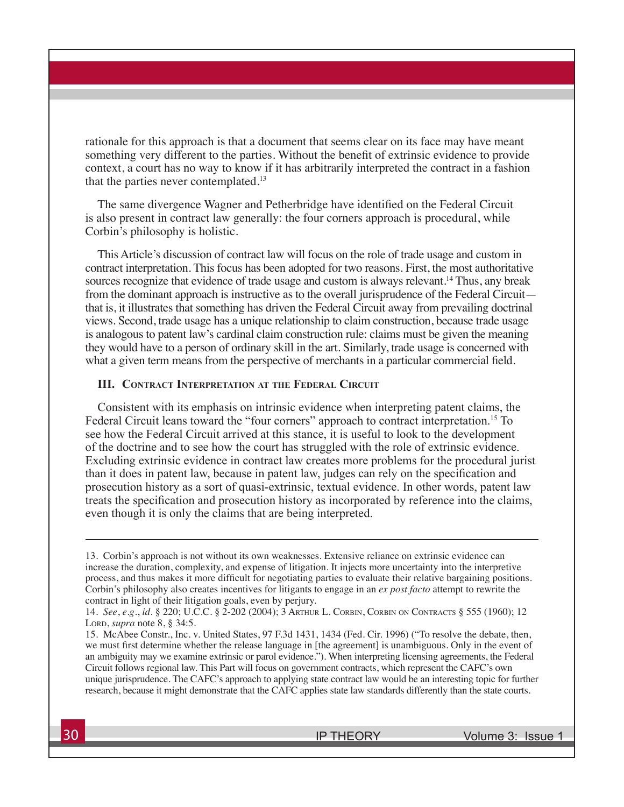rationale for this approach is that a document that seems clear on its face may have meant something very different to the parties. Without the benefit of extrinsic evidence to provide context, a court has no way to know if it has arbitrarily interpreted the contract in a fashion that the parties never contemplated.<sup>13</sup>

The same divergence Wagner and Petherbridge have identified on the Federal Circuit is also present in contract law generally: the four corners approach is procedural, while Corbin's philosophy is holistic.

This Article's discussion of contract law will focus on the role of trade usage and custom in contract interpretation. This focus has been adopted for two reasons. First, the most authoritative sources recognize that evidence of trade usage and custom is always relevant.<sup>14</sup> Thus, any break from the dominant approach is instructive as to the overall jurisprudence of the Federal Circuit that is, it illustrates that something has driven the Federal Circuit away from prevailing doctrinal views. Second, trade usage has a unique relationship to claim construction, because trade usage is analogous to patent law's cardinal claim construction rule: claims must be given the meaning they would have to a person of ordinary skill in the art. Similarly, trade usage is concerned with what a given term means from the perspective of merchants in a particular commercial field.

## **III. Contract Interpretation at the Federal Circuit**

Consistent with its emphasis on intrinsic evidence when interpreting patent claims, the Federal Circuit leans toward the "four corners" approach to contract interpretation.<sup>15</sup> To see how the Federal Circuit arrived at this stance, it is useful to look to the development of the doctrine and to see how the court has struggled with the role of extrinsic evidence. Excluding extrinsic evidence in contract law creates more problems for the procedural jurist than it does in patent law, because in patent law, judges can rely on the specification and prosecution history as a sort of quasi-extrinsic, textual evidence. In other words, patent law treats the specification and prosecution history as incorporated by reference into the claims, even though it is only the claims that are being interpreted.

<sup>13.</sup> Corbin's approach is not without its own weaknesses. Extensive reliance on extrinsic evidence can increase the duration, complexity, and expense of litigation. It injects more uncertainty into the interpretive process, and thus makes it more difficult for negotiating parties to evaluate their relative bargaining positions. Corbin's philosophy also creates incentives for litigants to engage in an *ex post facto* attempt to rewrite the contract in light of their litigation goals, even by perjury.

<sup>14.</sup> *See*, *e.g.*, *id.* § 220; U.C.C. § 2-202 (2004); 3 Arthur L. Corbin, Corbin on Contracts § 555 (1960); 12 Lord, *supra* note 8, § 34:5.

<sup>15.</sup> McAbee Constr., Inc. v. United States, 97 F.3d 1431, 1434 (Fed. Cir. 1996) ("To resolve the debate, then, we must first determine whether the release language in [the agreement] is unambiguous. Only in the event of an ambiguity may we examine extrinsic or parol evidence."). When interpreting licensing agreements, the Federal Circuit follows regional law. This Part will focus on government contracts, which represent the CAFC's own unique jurisprudence. The CAFC's approach to applying state contract law would be an interesting topic for further research, because it might demonstrate that the CAFC applies state law standards differently than the state courts.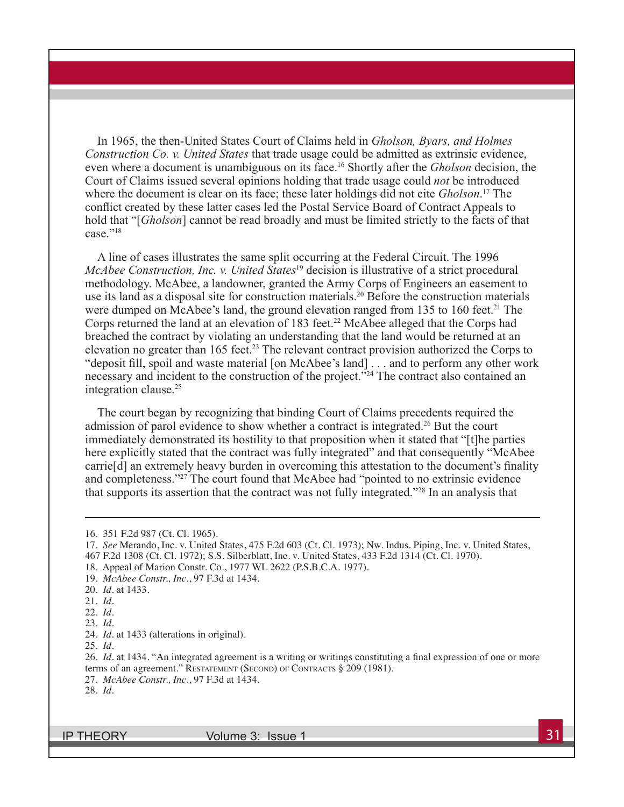In 1965, the then-United States Court of Claims held in *Gholson, Byars, and Holmes Construction Co. v. United States* that trade usage could be admitted as extrinsic evidence, even where a document is unambiguous on its face.16 Shortly after the *Gholson* decision, the Court of Claims issued several opinions holding that trade usage could *not* be introduced where the document is clear on its face; these later holdings did not cite *Gholson*. 17 The conflict created by these latter cases led the Postal Service Board of Contract Appeals to hold that "[*Gholson*] cannot be read broadly and must be limited strictly to the facts of that case<sup>"18</sup>

A line of cases illustrates the same split occurring at the Federal Circuit. The 1996 *McAbee Construction, Inc. v. United States*<sup>19</sup> decision is illustrative of a strict procedural methodology. McAbee, a landowner, granted the Army Corps of Engineers an easement to use its land as a disposal site for construction materials.<sup>20</sup> Before the construction materials were dumped on McAbee's land, the ground elevation ranged from 135 to 160 feet.<sup>21</sup> The Corps returned the land at an elevation of 183 feet.<sup>22</sup> McAbee alleged that the Corps had breached the contract by violating an understanding that the land would be returned at an elevation no greater than 165 feet.<sup>23</sup> The relevant contract provision authorized the Corps to "deposit fill, spoil and waste material [on McAbee's land] . . . and to perform any other work necessary and incident to the construction of the project.<sup>"24</sup> The contract also contained an integration clause.25

The court began by recognizing that binding Court of Claims precedents required the admission of parol evidence to show whether a contract is integrated.<sup>26</sup> But the court immediately demonstrated its hostility to that proposition when it stated that "[t]he parties here explicitly stated that the contract was fully integrated" and that consequently "McAbee carrie[d] an extremely heavy burden in overcoming this attestation to the document's finality and completeness."27 The court found that McAbee had "pointed to no extrinsic evidence that supports its assertion that the contract was not fully integrated."28 In an analysis that

22. *Id.*

25. *Id.*

26. *Id.* at 1434. "An integrated agreement is a writing or writings constituting a final expression of one or more terms of an agreement." RESTATEMENT (SECOND) OF CONTRACTS § 209 (1981).

27. *McAbee Constr., Inc.*, 97 F.3d at 1434.

<sup>16. 351</sup> F.2d 987 (Ct. Cl. 1965).

<sup>17.</sup> *See* Merando, Inc. v. United States, 475 F.2d 603 (Ct. Cl. 1973); Nw. Indus. Piping, Inc. v. United States, 467 F.2d 1308 (Ct. Cl. 1972); S.S. Silberblatt, Inc. v. United States, 433 F.2d 1314 (Ct. Cl. 1970).

<sup>18.</sup> Appeal of Marion Constr. Co., 1977 WL 2622 (P.S.B.C.A. 1977).

<sup>19.</sup> *McAbee Constr., Inc.*, 97 F.3d at 1434.

<sup>20.</sup> *Id.* at 1433.

<sup>21.</sup> *Id.*

<sup>23.</sup> *Id.*

<sup>24.</sup> *Id.* at 1433 (alterations in original).

<sup>28.</sup> *Id.*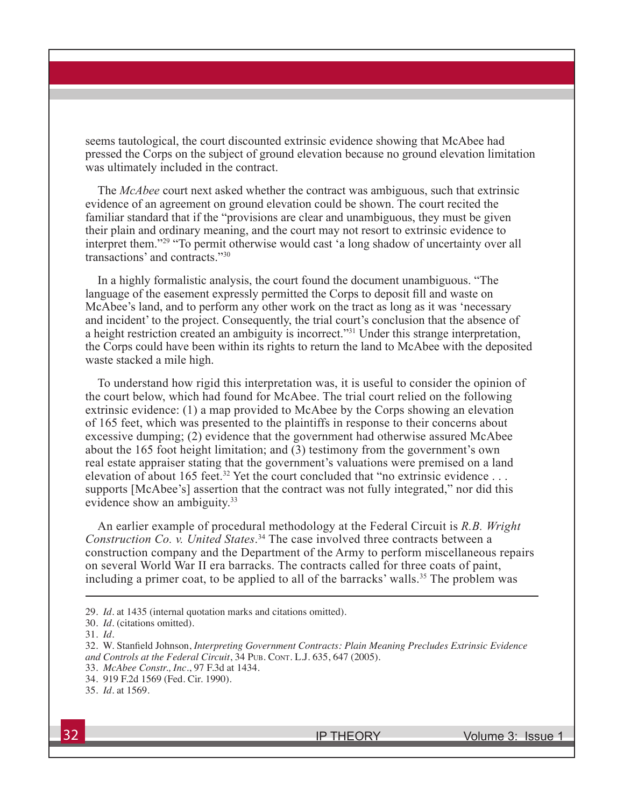seems tautological, the court discounted extrinsic evidence showing that McAbee had pressed the Corps on the subject of ground elevation because no ground elevation limitation was ultimately included in the contract.

The *McAbee* court next asked whether the contract was ambiguous, such that extrinsic evidence of an agreement on ground elevation could be shown. The court recited the familiar standard that if the "provisions are clear and unambiguous, they must be given their plain and ordinary meaning, and the court may not resort to extrinsic evidence to interpret them."29 "To permit otherwise would cast 'a long shadow of uncertainty over all transactions' and contracts<sup>"30</sup>

In a highly formalistic analysis, the court found the document unambiguous. "The language of the easement expressly permitted the Corps to deposit fill and waste on McAbee's land, and to perform any other work on the tract as long as it was 'necessary and incident' to the project. Consequently, the trial court's conclusion that the absence of a height restriction created an ambiguity is incorrect."<sup>31</sup> Under this strange interpretation, the Corps could have been within its rights to return the land to McAbee with the deposited waste stacked a mile high.

To understand how rigid this interpretation was, it is useful to consider the opinion of the court below, which had found for McAbee. The trial court relied on the following extrinsic evidence: (1) a map provided to McAbee by the Corps showing an elevation of 165 feet, which was presented to the plaintiffs in response to their concerns about excessive dumping; (2) evidence that the government had otherwise assured McAbee about the 165 foot height limitation; and (3) testimony from the government's own real estate appraiser stating that the government's valuations were premised on a land elevation of about 165 feet.<sup>32</sup> Yet the court concluded that "no extrinsic evidence ... supports [McAbee's] assertion that the contract was not fully integrated," nor did this evidence show an ambiguity.<sup>33</sup>

An earlier example of procedural methodology at the Federal Circuit is *R.B. Wright Construction Co. v. United States*. <sup>34</sup> The case involved three contracts between a construction company and the Department of the Army to perform miscellaneous repairs on several World War II era barracks. The contracts called for three coats of paint, including a primer coat, to be applied to all of the barracks' walls.<sup>35</sup> The problem was

29. *Id.* at 1435 (internal quotation marks and citations omitted).

<sup>30.</sup> *Id.* (citations omitted).

<sup>31.</sup> *Id.*

<sup>32.</sup> W. Stanfield Johnson, *Interpreting Government Contracts: Plain Meaning Precludes Extrinsic Evidence*  and Controls at the Federal Circuit, 34 PUB. CONT. L.J. 635, 647 (2005).

<sup>33.</sup> *McAbee Constr., Inc.*, 97 F.3d at 1434.

<sup>34. 919</sup> F.2d 1569 (Fed. Cir. 1990).

<sup>35.</sup> *Id.* at 1569.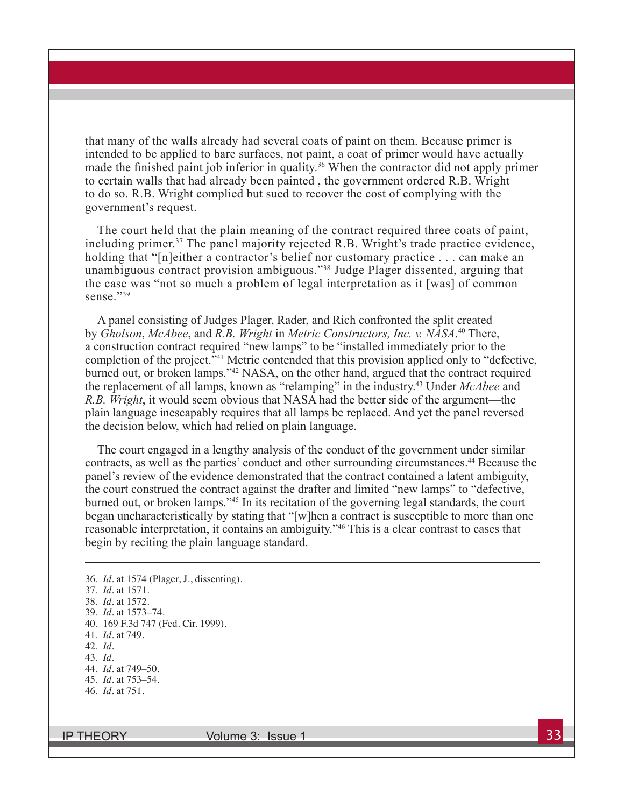that many of the walls already had several coats of paint on them. Because primer is intended to be applied to bare surfaces, not paint, a coat of primer would have actually made the finished paint job inferior in quality.<sup>36</sup> When the contractor did not apply primer to certain walls that had already been painted , the government ordered R.B. Wright to do so. R.B. Wright complied but sued to recover the cost of complying with the government's request.

The court held that the plain meaning of the contract required three coats of paint, including primer.37 The panel majority rejected R.B. Wright's trade practice evidence, holding that "[n]either a contractor's belief nor customary practice . . . can make an unambiguous contract provision ambiguous."38 Judge Plager dissented, arguing that the case was "not so much a problem of legal interpretation as it [was] of common sense<sup>"39</sup>

A panel consisting of Judges Plager, Rader, and Rich confronted the split created by *Gholson*, *McAbee*, and *R.B. Wright* in *Metric Constructors, Inc. v. NASA*. 40 There, a construction contract required "new lamps" to be "installed immediately prior to the completion of the project."41 Metric contended that this provision applied only to "defective, burned out, or broken lamps."42 NASA, on the other hand, argued that the contract required the replacement of all lamps, known as "relamping" in the industry.<sup>43</sup> Under *McAbee* and *R.B. Wright*, it would seem obvious that NASA had the better side of the argument—the plain language inescapably requires that all lamps be replaced. And yet the panel reversed the decision below, which had relied on plain language.

The court engaged in a lengthy analysis of the conduct of the government under similar contracts, as well as the parties' conduct and other surrounding circumstances.<sup>44</sup> Because the panel's review of the evidence demonstrated that the contract contained a latent ambiguity, the court construed the contract against the drafter and limited "new lamps" to "defective, burned out, or broken lamps."45 In its recitation of the governing legal standards, the court began uncharacteristically by stating that "[w]hen a contract is susceptible to more than one reasonable interpretation, it contains an ambiguity."46 This is a clear contrast to cases that begin by reciting the plain language standard.

36. *Id.* at 1574 (Plager, J., dissenting). 37. *Id.* at 1571. 38. *Id.* at 1572. 39. *Id.* at 1573–74. 40. 169 F.3d 747 (Fed. Cir. 1999). 41. *Id.* at 749. 42. *Id.* 43. *Id.*  44. *Id.* at 749–50. 45. *Id.* at 753–54. 46. *Id.* at 751.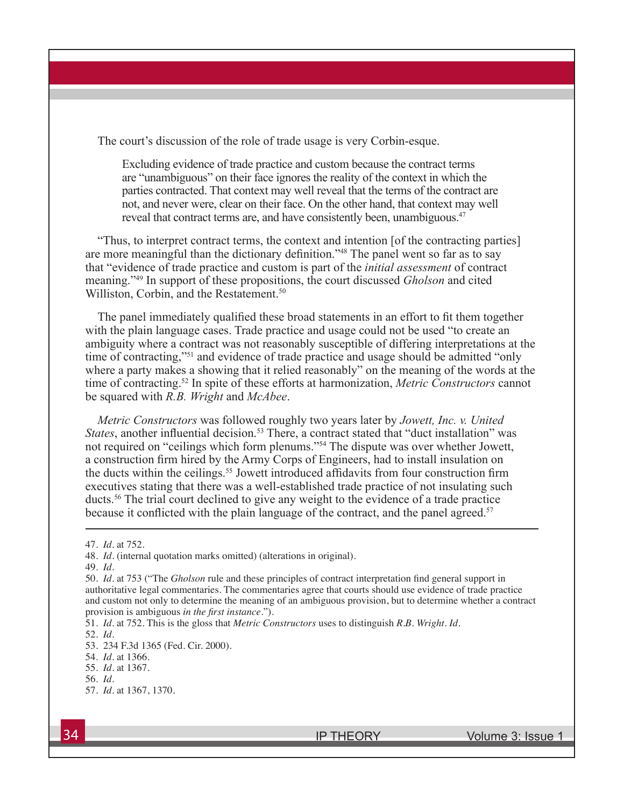The court's discussion of the role of trade usage is very Corbin-esque.

Excluding evidence of trade practice and custom because the contract terms are "unambiguous" on their face ignores the reality of the context in which the parties contracted. That context may well reveal that the terms of the contract are not, and never were, clear on their face. On the other hand, that context may well reveal that contract terms are, and have consistently been, unambiguous.<sup>47</sup>

"Thus, to interpret contract terms, the context and intention [of the contracting parties] are more meaningful than the dictionary definition."48 The panel went so far as to say that "evidence of trade practice and custom is part of the *initial assessment* of contract meaning."49 In support of these propositions, the court discussed *Gholson* and cited Williston, Corbin, and the Restatement.<sup>50</sup>

The panel immediately qualified these broad statements in an effort to fit them together with the plain language cases. Trade practice and usage could not be used "to create an ambiguity where a contract was not reasonably susceptible of differing interpretations at the time of contracting,"51 and evidence of trade practice and usage should be admitted "only where a party makes a showing that it relied reasonably" on the meaning of the words at the time of contracting.52 In spite of these efforts at harmonization, *Metric Constructors* cannot be squared with *R.B. Wright* and *McAbee*.

*Metric Constructors* was followed roughly two years later by *Jowett, Inc. v. United States*, another influential decision.<sup>53</sup> There, a contract stated that "duct installation" was not required on "ceilings which form plenums."54 The dispute was over whether Jowett, a construction firm hired by the Army Corps of Engineers, had to install insulation on the ducts within the ceilings.<sup>55</sup> Jowett introduced affidavits from four construction firm executives stating that there was a well-established trade practice of not insulating such ducts.56 The trial court declined to give any weight to the evidence of a trade practice because it conflicted with the plain language of the contract, and the panel agreed.<sup>57</sup>

52. *Id.*

<sup>47.</sup> *Id.* at 752.

<sup>48.</sup> *Id.* (internal quotation marks omitted) (alterations in original).

<sup>49.</sup> *Id.* 

<sup>50.</sup> *Id.* at 753 ("The *Gholson* rule and these principles of contract interpretation find general support in authoritative legal commentaries. The commentaries agree that courts should use evidence of trade practice and custom not only to determine the meaning of an ambiguous provision, but to determine whether a contract provision is ambiguous *in the first instance*.").

<sup>51.</sup> *Id.* at 752. This is the gloss that *Metric Constructors* uses to distinguish *R.B. Wright*. *Id.*

<sup>53. 234</sup> F.3d 1365 (Fed. Cir. 2000).

<sup>54.</sup> *Id.* at 1366.

<sup>55.</sup> *Id.* at 1367.

<sup>56.</sup> *Id.* 

<sup>57.</sup> *Id.* at 1367, 1370.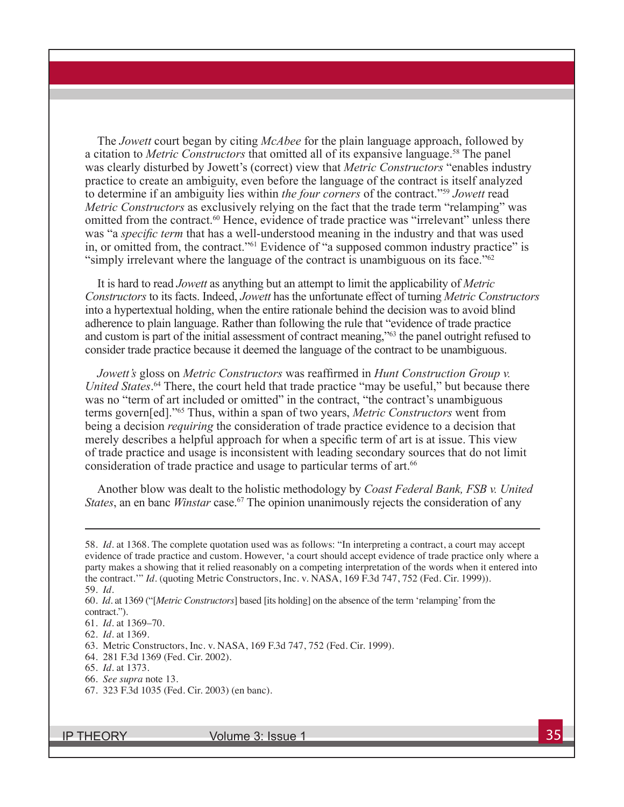The *Jowett* court began by citing *McAbee* for the plain language approach, followed by a citation to *Metric Constructors* that omitted all of its expansive language.58 The panel was clearly disturbed by Jowett's (correct) view that *Metric Constructors* "enables industry practice to create an ambiguity, even before the language of the contract is itself analyzed to determine if an ambiguity lies within *the four corners* of the contract."59 *Jowett* read *Metric Constructors* as exclusively relying on the fact that the trade term "relamping" was omitted from the contract.<sup>60</sup> Hence, evidence of trade practice was "irrelevant" unless there was "a *specific term* that has a well-understood meaning in the industry and that was used in, or omitted from, the contract."61 Evidence of "a supposed common industry practice" is "simply irrelevant where the language of the contract is unambiguous on its face."62

It is hard to read *Jowett* as anything but an attempt to limit the applicability of *Metric Constructors* to its facts. Indeed, *Jowett* has the unfortunate effect of turning *Metric Constructors*  into a hypertextual holding, when the entire rationale behind the decision was to avoid blind adherence to plain language. Rather than following the rule that "evidence of trade practice and custom is part of the initial assessment of contract meaning,"<sup>63</sup> the panel outright refused to consider trade practice because it deemed the language of the contract to be unambiguous.

*Jowett's* gloss on *Metric Constructors* was reaffirmed in *Hunt Construction Group v. United States*. 64 There, the court held that trade practice "may be useful," but because there was no "term of art included or omitted" in the contract, "the contract's unambiguous terms govern[ed]."65 Thus, within a span of two years, *Metric Constructors* went from being a decision *requiring* the consideration of trade practice evidence to a decision that merely describes a helpful approach for when a specific term of art is at issue. This view of trade practice and usage is inconsistent with leading secondary sources that do not limit consideration of trade practice and usage to particular terms of art.<sup>66</sup>

Another blow was dealt to the holistic methodology by *Coast Federal Bank, FSB v. United States*, an en banc *Winstar* case.<sup>67</sup> The opinion unanimously rejects the consideration of any

<sup>58.</sup> *Id.* at 1368. The complete quotation used was as follows: "In interpreting a contract, a court may accept evidence of trade practice and custom. However, 'a court should accept evidence of trade practice only where a party makes a showing that it relied reasonably on a competing interpretation of the words when it entered into the contract.'" *Id.* (quoting Metric Constructors, Inc. v. NASA, 169 F.3d 747, 752 (Fed. Cir. 1999)). 59. *Id.* 

<sup>60.</sup> *Id.* at 1369 ("[*Metric Constructors*] based [its holding] on the absence of the term 'relamping' from the contract.").

<sup>61.</sup> *Id.* at 1369–70.

<sup>62.</sup> *Id.* at 1369.

<sup>63.</sup> Metric Constructors, Inc. v. NASA, 169 F.3d 747, 752 (Fed. Cir. 1999).

<sup>64. 281</sup> F.3d 1369 (Fed. Cir. 2002).

<sup>65.</sup> *Id.* at 1373.

<sup>66.</sup> *See supra* note 13.

<sup>67. 323</sup> F.3d 1035 (Fed. Cir. 2003) (en banc).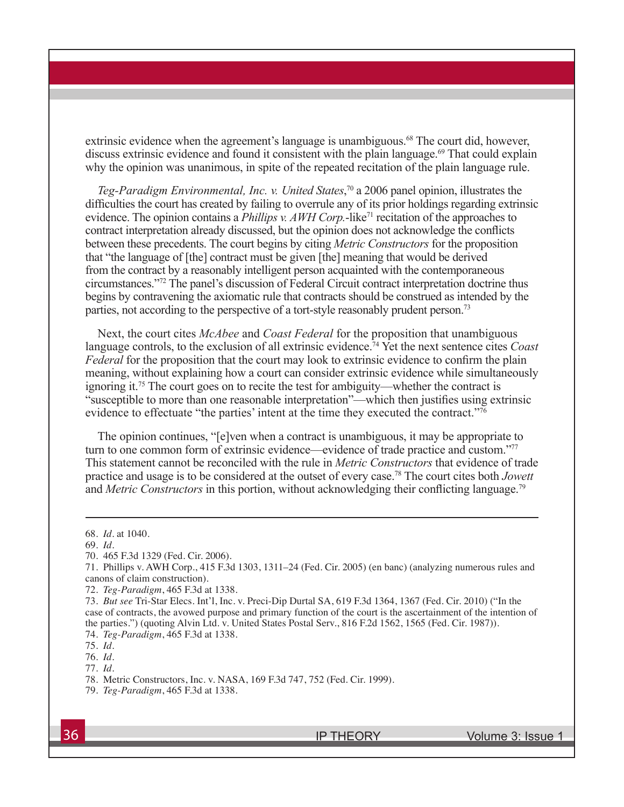extrinsic evidence when the agreement's language is unambiguous.<sup>68</sup> The court did, however, discuss extrinsic evidence and found it consistent with the plain language.<sup>69</sup> That could explain why the opinion was unanimous, in spite of the repeated recitation of the plain language rule.

*Teg-Paradigm Environmental, Inc. v. United States*, 70 a 2006 panel opinion, illustrates the difficulties the court has created by failing to overrule any of its prior holdings regarding extrinsic evidence. The opinion contains a *Phillips v. AWH Corp.*-like<sup>71</sup> recitation of the approaches to contract interpretation already discussed, but the opinion does not acknowledge the conflicts between these precedents. The court begins by citing *Metric Constructors* for the proposition that "the language of [the] contract must be given [the] meaning that would be derived from the contract by a reasonably intelligent person acquainted with the contemporaneous circumstances."72 The panel's discussion of Federal Circuit contract interpretation doctrine thus begins by contravening the axiomatic rule that contracts should be construed as intended by the parties, not according to the perspective of a tort-style reasonably prudent person.<sup>73</sup>

Next, the court cites *McAbee* and *Coast Federal* for the proposition that unambiguous language controls, to the exclusion of all extrinsic evidence.<sup>74</sup> Yet the next sentence cites *Coast Federal* for the proposition that the court may look to extrinsic evidence to confirm the plain meaning, without explaining how a court can consider extrinsic evidence while simultaneously ignoring it.75 The court goes on to recite the test for ambiguity—whether the contract is "susceptible to more than one reasonable interpretation"—which then justifies using extrinsic evidence to effectuate "the parties' intent at the time they executed the contract."<sup>76</sup>

The opinion continues, "[e]ven when a contract is unambiguous, it may be appropriate to turn to one common form of extrinsic evidence—evidence of trade practice and custom."<sup>77</sup> This statement cannot be reconciled with the rule in *Metric Constructors* that evidence of trade practice and usage is to be considered at the outset of every case.78 The court cites both *Jowett*  and *Metric Constructors* in this portion, without acknowledging their conflicting language.<sup>79</sup>

<sup>68.</sup> *Id.* at 1040.

<sup>69.</sup> *Id.* 

<sup>70. 465</sup> F.3d 1329 (Fed. Cir. 2006).

<sup>71.</sup> Phillips v. AWH Corp., 415 F.3d 1303, 1311–24 (Fed. Cir. 2005) (en banc) (analyzing numerous rules and canons of claim construction).

<sup>72.</sup> *Teg-Paradigm*, 465 F.3d at 1338.

<sup>73.</sup> *But see* Tri-Star Elecs. Int'l, Inc. v. Preci-Dip Durtal SA, 619 F.3d 1364, 1367 (Fed. Cir. 2010) ("In the case of contracts, the avowed purpose and primary function of the court is the ascertainment of the intention of the parties.") (quoting Alvin Ltd. v. United States Postal Serv., 816 F.2d 1562, 1565 (Fed. Cir. 1987)).

<sup>74.</sup> *Teg-Paradigm*, 465 F.3d at 1338.

<sup>75.</sup> *Id.* 

<sup>76.</sup> *Id.*

<sup>77.</sup> *Id.*

<sup>78.</sup> Metric Constructors, Inc. v. NASA, 169 F.3d 747, 752 (Fed. Cir. 1999).

<sup>79.</sup> *Teg-Paradigm*, 465 F.3d at 1338.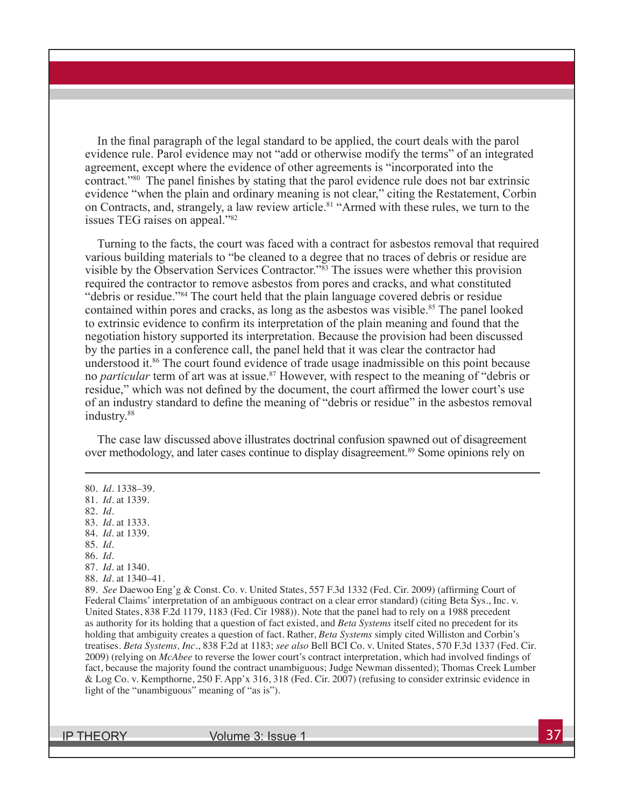In the final paragraph of the legal standard to be applied, the court deals with the parol evidence rule. Parol evidence may not "add or otherwise modify the terms" of an integrated agreement, except where the evidence of other agreements is "incorporated into the contract."80 The panel finishes by stating that the parol evidence rule does not bar extrinsic evidence "when the plain and ordinary meaning is not clear," citing the Restatement, Corbin on Contracts, and, strangely, a law review article.<sup>81</sup> "Armed with these rules, we turn to the issues TEG raises on appeal."82

Turning to the facts, the court was faced with a contract for asbestos removal that required various building materials to "be cleaned to a degree that no traces of debris or residue are visible by the Observation Services Contractor."<sup>83</sup> The issues were whether this provision required the contractor to remove asbestos from pores and cracks, and what constituted "debris or residue."84 The court held that the plain language covered debris or residue contained within pores and cracks, as long as the asbestos was visible.<sup>85</sup> The panel looked to extrinsic evidence to confirm its interpretation of the plain meaning and found that the negotiation history supported its interpretation. Because the provision had been discussed by the parties in a conference call, the panel held that it was clear the contractor had understood it.<sup>86</sup> The court found evidence of trade usage inadmissible on this point because no *particular* term of art was at issue.<sup>87</sup> However, with respect to the meaning of "debris or residue," which was not defined by the document, the court affirmed the lower court's use of an industry standard to define the meaning of "debris or residue" in the asbestos removal industry.<sup>88</sup>

The case law discussed above illustrates doctrinal confusion spawned out of disagreement over methodology, and later cases continue to display disagreement.<sup>89</sup> Some opinions rely on

82. *Id.* 

- 85. *Id.*
- 86. *Id.*

88. *Id.* at 1340–41.

89. *See* Daewoo Eng'g & Const. Co. v. United States, 557 F.3d 1332 (Fed. Cir. 2009) (affirming Court of Federal Claims' interpretation of an ambiguous contract on a clear error standard) (citing Beta Sys., Inc. v. United States, 838 F.2d 1179, 1183 (Fed. Cir 1988)). Note that the panel had to rely on a 1988 precedent as authority for its holding that a question of fact existed, and *Beta Systems* itself cited no precedent for its holding that ambiguity creates a question of fact. Rather, *Beta Systems* simply cited Williston and Corbin's treatises. *Beta Systems, Inc.*, 838 F.2d at 1183; *see also* Bell BCI Co. v. United States, 570 F.3d 1337 (Fed. Cir. 2009) (relying on *McAbee* to reverse the lower court's contract interpretation, which had involved findings of fact, because the majority found the contract unambiguous; Judge Newman dissented); Thomas Creek Lumber & Log Co. v. Kempthorne, 250 F. App'x 316, 318 (Fed. Cir. 2007) (refusing to consider extrinsic evidence in light of the "unambiguous" meaning of "as is").

<sup>80.</sup> *Id.* 1338–39.

<sup>81.</sup> *Id.* at 1339.

<sup>83.</sup> *Id.* at 1333. 84. *Id.* at 1339.

<sup>87.</sup> *Id.* at 1340.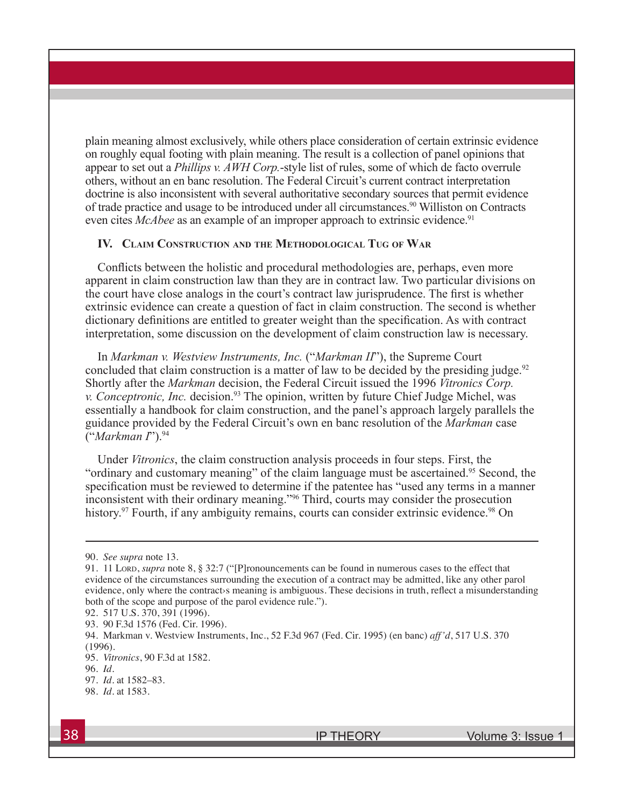plain meaning almost exclusively, while others place consideration of certain extrinsic evidence on roughly equal footing with plain meaning. The result is a collection of panel opinions that appear to set out a *Phillips v. AWH Corp.*-style list of rules, some of which de facto overrule others, without an en banc resolution. The Federal Circuit's current contract interpretation doctrine is also inconsistent with several authoritative secondary sources that permit evidence of trade practice and usage to be introduced under all circumstances.<sup>90</sup> Williston on Contracts even cites *McAbee* as an example of an improper approach to extrinsic evidence.<sup>91</sup>

### **IV. Claim Construction and the Methodological Tug of War**

Conflicts between the holistic and procedural methodologies are, perhaps, even more apparent in claim construction law than they are in contract law. Two particular divisions on the court have close analogs in the court's contract law jurisprudence. The first is whether extrinsic evidence can create a question of fact in claim construction. The second is whether dictionary definitions are entitled to greater weight than the specification. As with contract interpretation, some discussion on the development of claim construction law is necessary.

In *Markman v. Westview Instruments, Inc.* ("*Markman II*"), the Supreme Court concluded that claim construction is a matter of law to be decided by the presiding judge.<sup>92</sup> Shortly after the *Markman* decision, the Federal Circuit issued the 1996 *Vitronics Corp. v. Conceptronic, Inc.* decision.<sup>93</sup> The opinion, written by future Chief Judge Michel, was essentially a handbook for claim construction, and the panel's approach largely parallels the guidance provided by the Federal Circuit's own en banc resolution of the *Markman* case ("*Markman I*").94

Under *Vitronics*, the claim construction analysis proceeds in four steps. First, the "ordinary and customary meaning" of the claim language must be ascertained.<sup>95</sup> Second, the specification must be reviewed to determine if the patentee has "used any terms in a manner inconsistent with their ordinary meaning."96 Third, courts may consider the prosecution history.<sup>97</sup> Fourth, if any ambiguity remains, courts can consider extrinsic evidence.<sup>98</sup> On

<sup>90.</sup> *See supra* note 13.

<sup>91. 11</sup> Lord, *supra* note 8, § 32:7 ("[P]ronouncements can be found in numerous cases to the effect that evidence of the circumstances surrounding the execution of a contract may be admitted, like any other parol evidence, only where the contracts meaning is ambiguous. These decisions in truth, reflect a misunderstanding both of the scope and purpose of the parol evidence rule.").

<sup>92. 517</sup> U.S. 370, 391 (1996).

<sup>93. 90</sup> F.3d 1576 (Fed. Cir. 1996).

<sup>94.</sup> Markman v. Westview Instruments, Inc., 52 F.3d 967 (Fed. Cir. 1995) (en banc) *aff'd*, 517 U.S. 370 (1996).

<sup>95.</sup> *Vitronics*, 90 F.3d at 1582.

<sup>96.</sup> *Id.*

<sup>97.</sup> *Id.* at 1582–83.

<sup>98.</sup> *Id.* at 1583.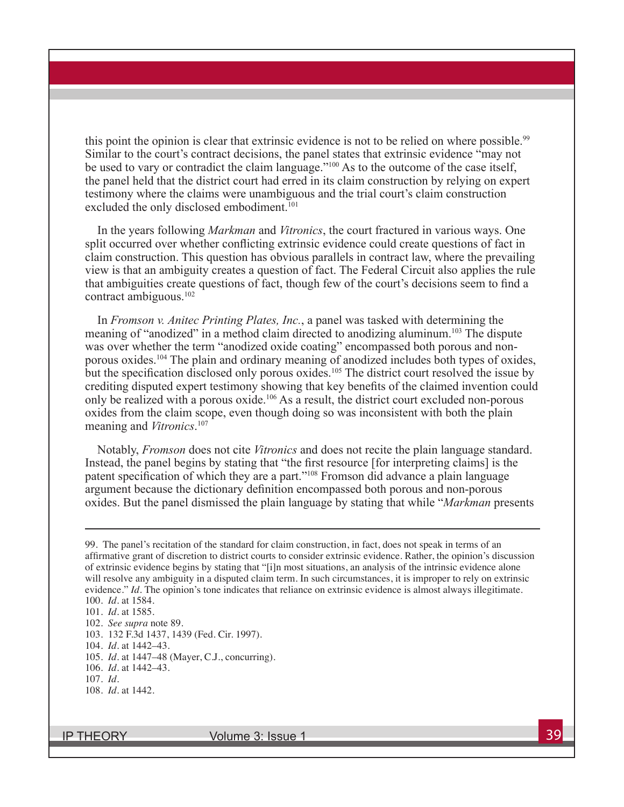this point the opinion is clear that extrinsic evidence is not to be relied on where possible.<sup>99</sup> Similar to the court's contract decisions, the panel states that extrinsic evidence "may not be used to vary or contradict the claim language."<sup>100</sup> As to the outcome of the case itself, the panel held that the district court had erred in its claim construction by relying on expert testimony where the claims were unambiguous and the trial court's claim construction excluded the only disclosed embodiment.<sup>101</sup>

In the years following *Markman* and *Vitronics*, the court fractured in various ways. One split occurred over whether conflicting extrinsic evidence could create questions of fact in claim construction. This question has obvious parallels in contract law, where the prevailing view is that an ambiguity creates a question of fact. The Federal Circuit also applies the rule that ambiguities create questions of fact, though few of the court's decisions seem to find a contract ambiguous.102

In *Fromson v. Anitec Printing Plates, Inc.*, a panel was tasked with determining the meaning of "anodized" in a method claim directed to anodizing aluminum.<sup>103</sup> The dispute was over whether the term "anodized oxide coating" encompassed both porous and nonporous oxides.104 The plain and ordinary meaning of anodized includes both types of oxides, but the specification disclosed only porous oxides.<sup>105</sup> The district court resolved the issue by crediting disputed expert testimony showing that key benefits of the claimed invention could only be realized with a porous oxide.106 As a result, the district court excluded non-porous oxides from the claim scope, even though doing so was inconsistent with both the plain meaning and *Vitronics*. 107

Notably, *Fromson* does not cite *Vitronics* and does not recite the plain language standard. Instead, the panel begins by stating that "the first resource [for interpreting claims] is the patent specification of which they are a part."108 Fromson did advance a plain language argument because the dictionary definition encompassed both porous and non-porous oxides. But the panel dismissed the plain language by stating that while "*Markman* presents

<sup>99.</sup> The panel's recitation of the standard for claim construction, in fact, does not speak in terms of an affirmative grant of discretion to district courts to consider extrinsic evidence. Rather, the opinion's discussion of extrinsic evidence begins by stating that "[i]n most situations, an analysis of the intrinsic evidence alone will resolve any ambiguity in a disputed claim term. In such circumstances, it is improper to rely on extrinsic evidence." *Id.* The opinion's tone indicates that reliance on extrinsic evidence is almost always illegitimate. 100. *Id.* at 1584.

<sup>101.</sup> *Id.* at 1585.

<sup>102.</sup> *See supra* note 89.

<sup>103. 132</sup> F.3d 1437, 1439 (Fed. Cir. 1997).

<sup>104.</sup> *Id.* at 1442–43.

<sup>105.</sup> *Id.* at 1447–48 (Mayer, C.J., concurring).

<sup>106.</sup> *Id.* at 1442–43.

<sup>107.</sup> *Id.*

<sup>108.</sup> *Id.* at 1442.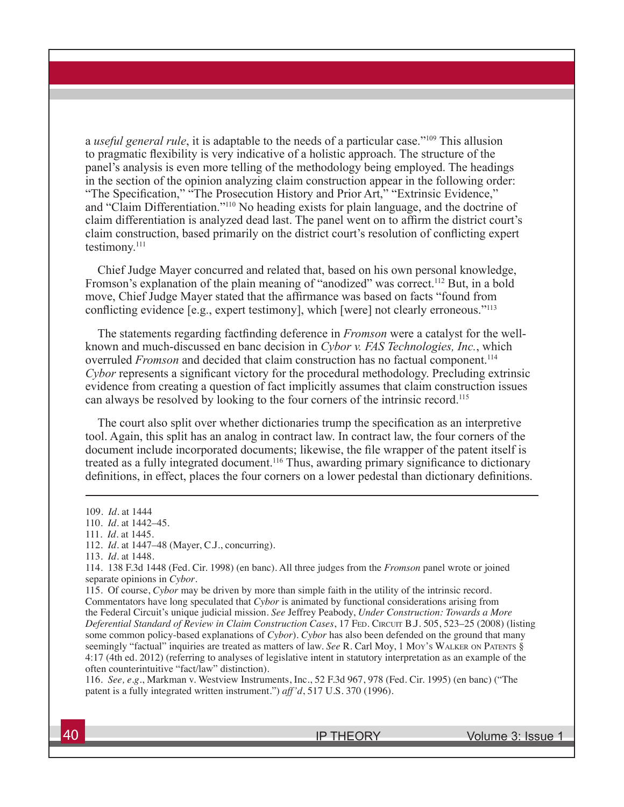a *useful general rule*, it is adaptable to the needs of a particular case."109 This allusion to pragmatic flexibility is very indicative of a holistic approach. The structure of the panel's analysis is even more telling of the methodology being employed. The headings in the section of the opinion analyzing claim construction appear in the following order: "The Specification," "The Prosecution History and Prior Art," "Extrinsic Evidence," and "Claim Differentiation."110 No heading exists for plain language, and the doctrine of claim differentiation is analyzed dead last. The panel went on to affirm the district court's claim construction, based primarily on the district court's resolution of conflicting expert testimony.<sup>111</sup>

Chief Judge Mayer concurred and related that, based on his own personal knowledge, Fromson's explanation of the plain meaning of "anodized" was correct.<sup>112</sup> But, in a bold move, Chief Judge Mayer stated that the affirmance was based on facts "found from conflicting evidence [e.g., expert testimony], which [were] not clearly erroneous."113

The statements regarding factfinding deference in *Fromson* were a catalyst for the wellknown and much-discussed en banc decision in *Cybor v. FAS Technologies, Inc.*, which overruled *Fromson* and decided that claim construction has no factual component.<sup>114</sup> *Cybor* represents a significant victory for the procedural methodology. Precluding extrinsic evidence from creating a question of fact implicitly assumes that claim construction issues can always be resolved by looking to the four corners of the intrinsic record.115

The court also split over whether dictionaries trump the specification as an interpretive tool. Again, this split has an analog in contract law. In contract law, the four corners of the document include incorporated documents; likewise, the file wrapper of the patent itself is treated as a fully integrated document.116 Thus, awarding primary significance to dictionary definitions, in effect, places the four corners on a lower pedestal than dictionary definitions.

116. *See, e.g.*, Markman v. Westview Instruments, Inc., 52 F.3d 967, 978 (Fed. Cir. 1995) (en banc) ("The patent is a fully integrated written instrument.") *aff'd*, 517 U.S. 370 (1996).

<sup>109.</sup> *Id.* at 1444

<sup>110.</sup> *Id.* at 1442–45.

<sup>111.</sup> *Id.* at 1445.

<sup>112.</sup> *Id.* at 1447–48 (Mayer, C.J., concurring).

<sup>113.</sup> *Id.* at 1448.

<sup>114. 138</sup> F.3d 1448 (Fed. Cir. 1998) (en banc). All three judges from the *Fromson* panel wrote or joined separate opinions in *Cybor*.

<sup>115.</sup> Of course, *Cybor* may be driven by more than simple faith in the utility of the intrinsic record. Commentators have long speculated that *Cybor* is animated by functional considerations arising from the Federal Circuit's unique judicial mission. *See* Jeffrey Peabody, *Under Construction: Towards a More Deferential Standard of Review in Claim Construction Cases*, 17 FED. CIRCUIT B.J. 505, 523–25 (2008) (listing some common policy-based explanations of *Cybor*). *Cybor* has also been defended on the ground that many seemingly "factual" inquiries are treated as matters of law. *See* R. Carl Moy, 1 Moy's Walker on Patents § 4:17 (4th ed. 2012) (referring to analyses of legislative intent in statutory interpretation as an example of the often counterintuitive "fact/law" distinction).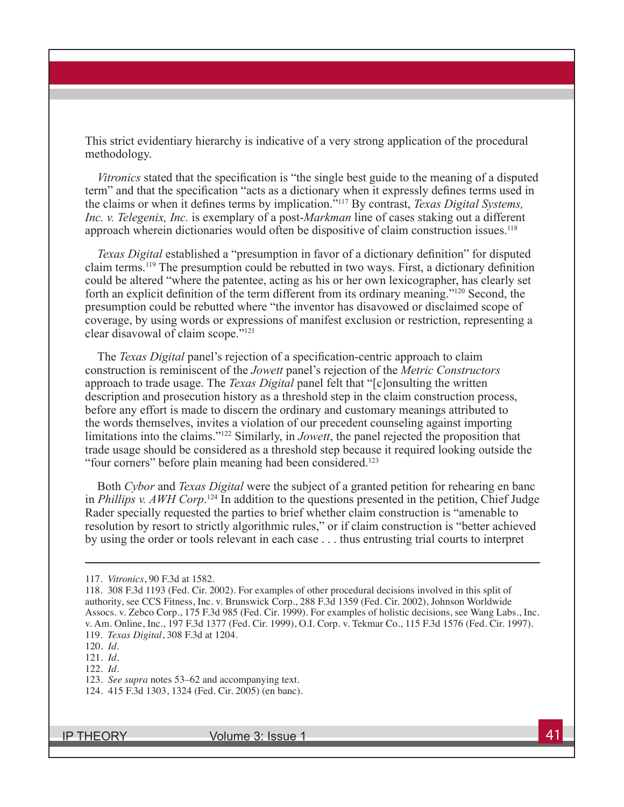This strict evidentiary hierarchy is indicative of a very strong application of the procedural methodology.

*Vitronics* stated that the specification is "the single best guide to the meaning of a disputed term" and that the specification "acts as a dictionary when it expressly defines terms used in the claims or when it defines terms by implication."<sup>117</sup> By contrast, *Texas Digital Systems, Inc. v. Telegenix, Inc.* is exemplary of a post-*Markman* line of cases staking out a different approach wherein dictionaries would often be dispositive of claim construction issues.<sup>118</sup>

*Texas Digital* established a "presumption in favor of a dictionary definition" for disputed claim terms.119 The presumption could be rebutted in two ways. First, a dictionary definition could be altered "where the patentee, acting as his or her own lexicographer, has clearly set forth an explicit definition of the term different from its ordinary meaning."120 Second, the presumption could be rebutted where "the inventor has disavowed or disclaimed scope of coverage, by using words or expressions of manifest exclusion or restriction, representing a clear disavowal of claim scope."121

The *Texas Digital* panel's rejection of a specification-centric approach to claim construction is reminiscent of the *Jowett* panel's rejection of the *Metric Constructors*  approach to trade usage. The *Texas Digital* panel felt that "[c]onsulting the written description and prosecution history as a threshold step in the claim construction process, before any effort is made to discern the ordinary and customary meanings attributed to the words themselves, invites a violation of our precedent counseling against importing limitations into the claims."122 Similarly, in *Jowett*, the panel rejected the proposition that trade usage should be considered as a threshold step because it required looking outside the "four corners" before plain meaning had been considered.<sup>123</sup>

Both *Cybor* and *Texas Digital* were the subject of a granted petition for rehearing en banc in *Phillips v. AWH Corp*.<sup>124</sup> In addition to the questions presented in the petition, Chief Judge Rader specially requested the parties to brief whether claim construction is "amenable to resolution by resort to strictly algorithmic rules," or if claim construction is "better achieved by using the order or tools relevant in each case . . . thus entrusting trial courts to interpret

<sup>117.</sup> *Vitronics*, 90 F.3d at 1582.

<sup>118. 308</sup> F.3d 1193 (Fed. Cir. 2002). For examples of other procedural decisions involved in this split of authority, see CCS Fitness, Inc. v. Brunswick Corp., 288 F.3d 1359 (Fed. Cir. 2002), Johnson Worldwide Assocs. v. Zebco Corp., 175 F.3d 985 (Fed. Cir. 1999). For examples of holistic decisions, see Wang Labs., Inc. v. Am. Online, Inc., 197 F.3d 1377 (Fed. Cir. 1999), O.I. Corp. v. Tekmar Co., 115 F.3d 1576 (Fed. Cir. 1997). 119. *Texas Digital*, 308 F.3d at 1204.

<sup>120.</sup> *Id.* 

<sup>121.</sup> *Id.* 

<sup>122.</sup> *Id.* 

<sup>123.</sup> *See supra* notes 53–62 and accompanying text.

<sup>124. 415</sup> F.3d 1303, 1324 (Fed. Cir. 2005) (en banc).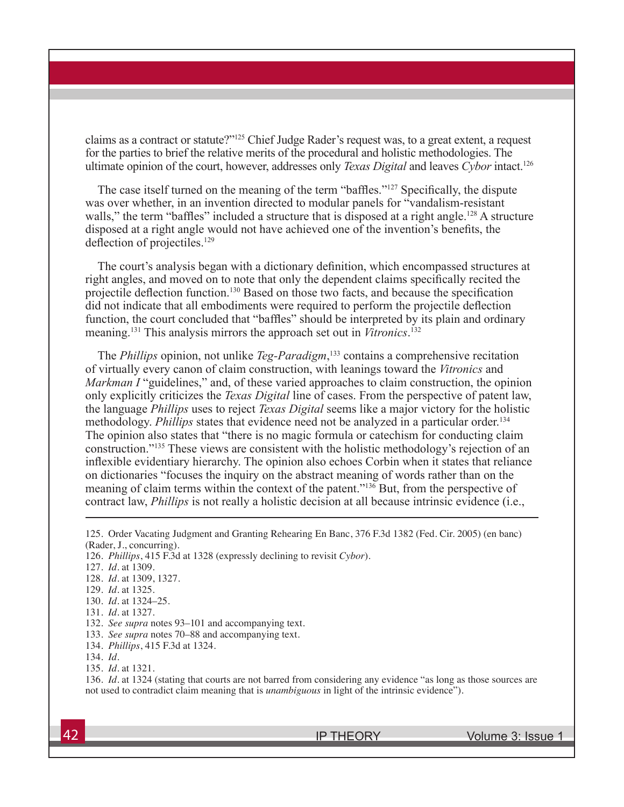claims as a contract or statute?"125 Chief Judge Rader's request was, to a great extent, a request for the parties to brief the relative merits of the procedural and holistic methodologies. The ultimate opinion of the court, however, addresses only *Texas Digital* and leaves *Cybor* intact.126

The case itself turned on the meaning of the term "baffles."<sup>127</sup> Specifically, the dispute was over whether, in an invention directed to modular panels for "vandalism-resistant walls," the term "baffles" included a structure that is disposed at a right angle.<sup>128</sup> A structure disposed at a right angle would not have achieved one of the invention's benefits, the deflection of projectiles.<sup>129</sup>

The court's analysis began with a dictionary definition, which encompassed structures at right angles, and moved on to note that only the dependent claims specifically recited the projectile deflection function.130 Based on those two facts, and because the specification did not indicate that all embodiments were required to perform the projectile deflection function, the court concluded that "baffles" should be interpreted by its plain and ordinary meaning.<sup>131</sup> This analysis mirrors the approach set out in *Vitronics*. 132

The *Phillips* opinion, not unlike *Teg-Paradigm*, <sup>133</sup> contains a comprehensive recitation of virtually every canon of claim construction, with leanings toward the *Vitronics* and *Markman I* "guidelines," and, of these varied approaches to claim construction, the opinion only explicitly criticizes the *Texas Digital* line of cases. From the perspective of patent law, the language *Phillips* uses to reject *Texas Digital* seems like a major victory for the holistic methodology. *Phillips* states that evidence need not be analyzed in a particular order.<sup>134</sup> The opinion also states that "there is no magic formula or catechism for conducting claim construction."135 These views are consistent with the holistic methodology's rejection of an inflexible evidentiary hierarchy. The opinion also echoes Corbin when it states that reliance on dictionaries "focuses the inquiry on the abstract meaning of words rather than on the meaning of claim terms within the context of the patent."136 But, from the perspective of contract law, *Phillips* is not really a holistic decision at all because intrinsic evidence (i.e.,

134. *Phillips*, 415 F.3d at 1324.

<sup>125.</sup> Order Vacating Judgment and Granting Rehearing En Banc, 376 F.3d 1382 (Fed. Cir. 2005) (en banc) (Rader, J., concurring).

<sup>126.</sup> *Phillips*, 415 F.3d at 1328 (expressly declining to revisit *Cybor*).

<sup>127.</sup> *Id.* at 1309.

<sup>128.</sup> *Id.* at 1309, 1327.

<sup>129.</sup> *Id.* at 1325.

<sup>130.</sup> *Id.* at 1324–25.

<sup>131.</sup> *Id.* at 1327.

<sup>132.</sup> *See supra* notes 93–101 and accompanying text.

<sup>133.</sup> *See supra* notes 70–88 and accompanying text.

<sup>134.</sup> *Id.*

<sup>135.</sup> *Id.* at 1321.

<sup>136.</sup> *Id.* at 1324 (stating that courts are not barred from considering any evidence "as long as those sources are not used to contradict claim meaning that is *unambiguous* in light of the intrinsic evidence").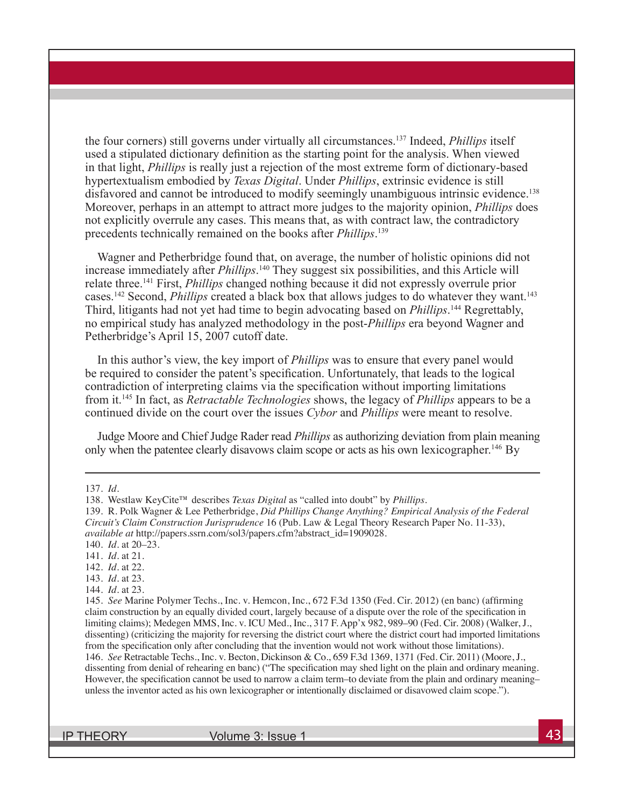the four corners) still governs under virtually all circumstances.<sup>137</sup> Indeed, *Phillips* itself used a stipulated dictionary definition as the starting point for the analysis. When viewed in that light, *Phillips* is really just a rejection of the most extreme form of dictionary-based hypertextualism embodied by *Texas Digital*. Under *Phillips*, extrinsic evidence is still disfavored and cannot be introduced to modify seemingly unambiguous intrinsic evidence.<sup>138</sup> Moreover, perhaps in an attempt to attract more judges to the majority opinion, *Phillips* does not explicitly overrule any cases. This means that, as with contract law, the contradictory precedents technically remained on the books after *Phillips*. 139

Wagner and Petherbridge found that, on average, the number of holistic opinions did not increase immediately after *Phillips*. <sup>140</sup> They suggest six possibilities, and this Article will relate three.141 First, *Phillips* changed nothing because it did not expressly overrule prior cases.<sup>142</sup> Second, *Phillips* created a black box that allows judges to do whatever they want.<sup>143</sup> Third, litigants had not yet had time to begin advocating based on *Phillips*. 144 Regrettably, no empirical study has analyzed methodology in the post-*Phillips* era beyond Wagner and Petherbridge's April 15, 2007 cutoff date.

In this author's view, the key import of *Phillips* was to ensure that every panel would be required to consider the patent's specification. Unfortunately, that leads to the logical contradiction of interpreting claims via the specification without importing limitations from it.145 In fact, as *Retractable Technologies* shows, the legacy of *Phillips* appears to be a continued divide on the court over the issues *Cybor* and *Phillips* were meant to resolve.

Judge Moore and Chief Judge Rader read *Phillips* as authorizing deviation from plain meaning only when the patentee clearly disavows claim scope or acts as his own lexicographer.<sup>146</sup> By

- 143. *Id.* at 23.
- 144. *Id.* at 23.

<sup>137.</sup> *Id.*

<sup>138.</sup> Westlaw KeyCite™ describes *Texas Digital* as "called into doubt" by *Phillips*.

<sup>139.</sup> R. Polk Wagner & Lee Petherbridge, *Did Phillips Change Anything? Empirical Analysis of the Federal Circuit's Claim Construction Jurisprudence* 16 (Pub. Law & Legal Theory Research Paper No. 11-33), *available at* http://papers.ssrn.com/sol3/papers.cfm?abstract\_id=1909028.

<sup>140.</sup> *Id.* at 20–23.

<sup>141.</sup> *Id.* at 21.

<sup>142.</sup> *Id.* at 22.

<sup>145.</sup> *See* Marine Polymer Techs., Inc. v. Hemcon, Inc., 672 F.3d 1350 (Fed. Cir. 2012) (en banc) (affirming claim construction by an equally divided court, largely because of a dispute over the role of the specification in limiting claims); Medegen MMS, Inc. v. ICU Med., Inc., 317 F. App'x 982, 989–90 (Fed. Cir. 2008) (Walker, J., dissenting) (criticizing the majority for reversing the district court where the district court had imported limitations from the specification only after concluding that the invention would not work without those limitations). 146. *See* Retractable Techs., Inc. v. Becton, Dickinson & Co., 659 F.3d 1369, 1371 (Fed. Cir. 2011) (Moore, J., dissenting from denial of rehearing en banc) ("The specification may shed light on the plain and ordinary meaning. However, the specification cannot be used to narrow a claim term–to deviate from the plain and ordinary meaning– unless the inventor acted as his own lexicographer or intentionally disclaimed or disavowed claim scope.").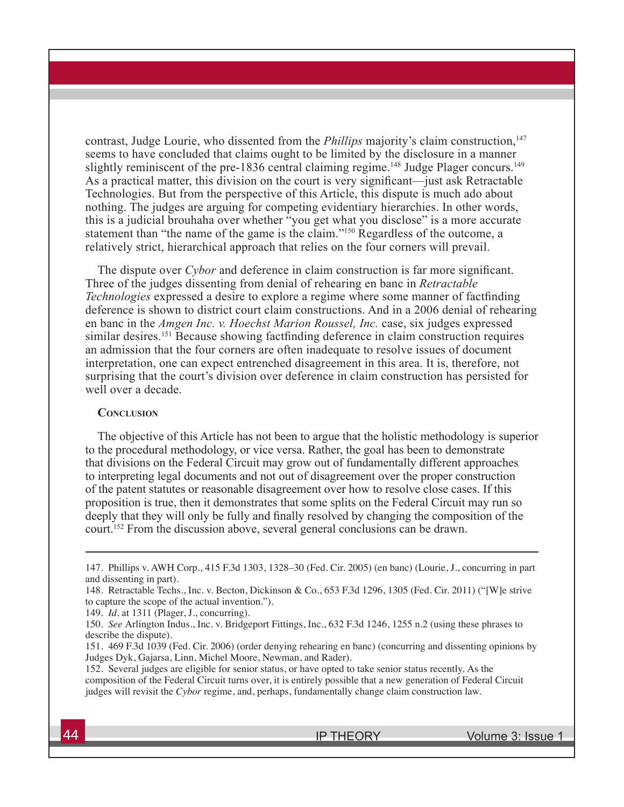contrast, Judge Lourie, who dissented from the *Phillips* majority's claim construction,<sup>147</sup> seems to have concluded that claims ought to be limited by the disclosure in a manner slightly reminiscent of the pre-1836 central claiming regime.<sup>148</sup> Judge Plager concurs.<sup>149</sup> As a practical matter, this division on the court is very significant—just ask Retractable Technologies. But from the perspective of this Article, this dispute is much ado about nothing. The judges are arguing for competing evidentiary hierarchies. In other words, this is a judicial brouhaha over whether "you get what you disclose" is a more accurate statement than "the name of the game is the claim."<sup>150</sup> Regardless of the outcome, a relatively strict, hierarchical approach that relies on the four corners will prevail.

The dispute over *Cybor* and deference in claim construction is far more significant. Three of the judges dissenting from denial of rehearing en banc in *Retractable Technologies* expressed a desire to explore a regime where some manner of factfinding deference is shown to district court claim constructions. And in a 2006 denial of rehearing en banc in the *Amgen Inc. v. Hoechst Marion Roussel, Inc.* case, six judges expressed similar desires.<sup>151</sup> Because showing factfinding deference in claim construction requires an admission that the four corners are often inadequate to resolve issues of document interpretation, one can expect entrenched disagreement in this area. It is, therefore, not surprising that the court's division over deference in claim construction has persisted for well over a decade.

#### **Conclusion**

The objective of this Article has not been to argue that the holistic methodology is superior to the procedural methodology, or vice versa. Rather, the goal has been to demonstrate that divisions on the Federal Circuit may grow out of fundamentally different approaches to interpreting legal documents and not out of disagreement over the proper construction of the patent statutes or reasonable disagreement over how to resolve close cases. If this proposition is true, then it demonstrates that some splits on the Federal Circuit may run so deeply that they will only be fully and finally resolved by changing the composition of the court.152 From the discussion above, several general conclusions can be drawn.

<sup>147.</sup> Phillips v. AWH Corp., 415 F.3d 1303, 1328–30 (Fed. Cir. 2005) (en banc) (Lourie, J., concurring in part and dissenting in part).

<sup>148.</sup> Retractable Techs., Inc. v. Becton, Dickinson & Co., 653 F.3d 1296, 1305 (Fed. Cir. 2011) ("[W]e strive to capture the scope of the actual invention.").

<sup>149.</sup> *Id.* at 1311 (Plager, J., concurring).

<sup>150.</sup> *See* Arlington Indus., Inc. v. Bridgeport Fittings, Inc., 632 F.3d 1246, 1255 n.2 (using these phrases to describe the dispute).

<sup>151. 469</sup> F.3d 1039 (Fed. Cir. 2006) (order denying rehearing en banc) (concurring and dissenting opinions by Judges Dyk, Gajarsa, Linn, Michel Moore, Newman, and Rader).

<sup>152.</sup> Several judges are eligible for senior status, or have opted to take senior status recently. As the composition of the Federal Circuit turns over, it is entirely possible that a new generation of Federal Circuit judges will revisit the *Cybor* regime, and, perhaps, fundamentally change claim construction law.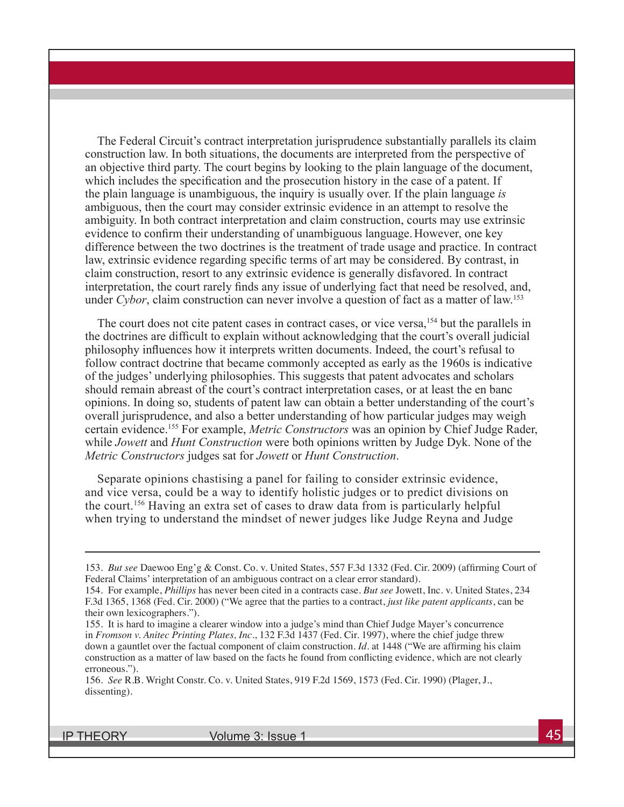The Federal Circuit's contract interpretation jurisprudence substantially parallels its claim construction law. In both situations, the documents are interpreted from the perspective of an objective third party. The court begins by looking to the plain language of the document, which includes the specification and the prosecution history in the case of a patent. If the plain language is unambiguous, the inquiry is usually over. If the plain language *is*  ambiguous, then the court may consider extrinsic evidence in an attempt to resolve the ambiguity. In both contract interpretation and claim construction, courts may use extrinsic evidence to confirm their understanding of unambiguous language.However, one key difference between the two doctrines is the treatment of trade usage and practice. In contract law, extrinsic evidence regarding specific terms of art may be considered. By contrast, in claim construction, resort to any extrinsic evidence is generally disfavored. In contract interpretation, the court rarely finds any issue of underlying fact that need be resolved, and, under *Cybor*, claim construction can never involve a question of fact as a matter of law.<sup>153</sup>

The court does not cite patent cases in contract cases, or vice versa,<sup>154</sup> but the parallels in the doctrines are difficult to explain without acknowledging that the court's overall judicial philosophy influences how it interprets written documents. Indeed, the court's refusal to follow contract doctrine that became commonly accepted as early as the 1960s is indicative of the judges' underlying philosophies. This suggests that patent advocates and scholars should remain abreast of the court's contract interpretation cases, or at least the en banc opinions. In doing so, students of patent law can obtain a better understanding of the court's overall jurisprudence, and also a better understanding of how particular judges may weigh certain evidence.155 For example, *Metric Constructors* was an opinion by Chief Judge Rader, while *Jowett* and *Hunt Construction* were both opinions written by Judge Dyk. None of the *Metric Constructors* judges sat for *Jowett* or *Hunt Construction*.

Separate opinions chastising a panel for failing to consider extrinsic evidence, and vice versa, could be a way to identify holistic judges or to predict divisions on the court.156 Having an extra set of cases to draw data from is particularly helpful when trying to understand the mindset of newer judges like Judge Reyna and Judge

<sup>153.</sup> *But see* Daewoo Eng'g & Const. Co. v. United States, 557 F.3d 1332 (Fed. Cir. 2009) (affirming Court of Federal Claims' interpretation of an ambiguous contract on a clear error standard).

<sup>154.</sup> For example, *Phillips* has never been cited in a contracts case. *But see* Jowett, Inc. v. United States, 234 F.3d 1365, 1368 (Fed. Cir. 2000) ("We agree that the parties to a contract, *just like patent applicants*, can be their own lexicographers.").

<sup>155.</sup> It is hard to imagine a clearer window into a judge's mind than Chief Judge Mayer's concurrence in *Fromson v. Anitec Printing Plates, Inc.*, 132 F.3d 1437 (Fed. Cir. 1997), where the chief judge threw down a gauntlet over the factual component of claim construction. *Id.* at 1448 ("We are affirming his claim construction as a matter of law based on the facts he found from conflicting evidence, which are not clearly erroneous.").

<sup>156.</sup> *See* R.B. Wright Constr. Co. v. United States, 919 F.2d 1569, 1573 (Fed. Cir. 1990) (Plager, J., dissenting).